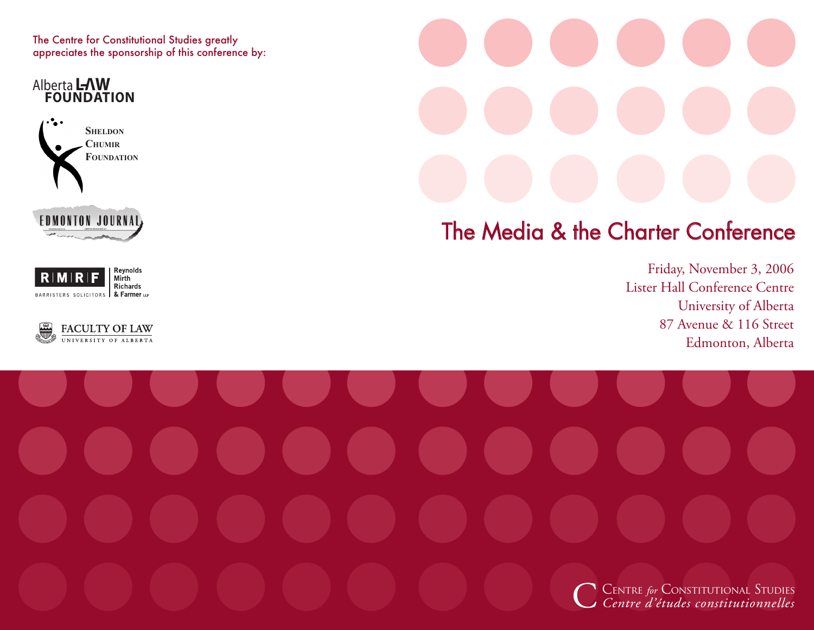The Centre for Constitutional Studies greatly appreciates the sponsorship of this conference by:

**Alberta LAW**<br>**FOUNDATION** 









## The Media & the Charter Conference

Friday, November 3, 2006 Lister Hall Conference Centre University of Alberta 87 Avenue & 116 Street Edmonton, Alberta